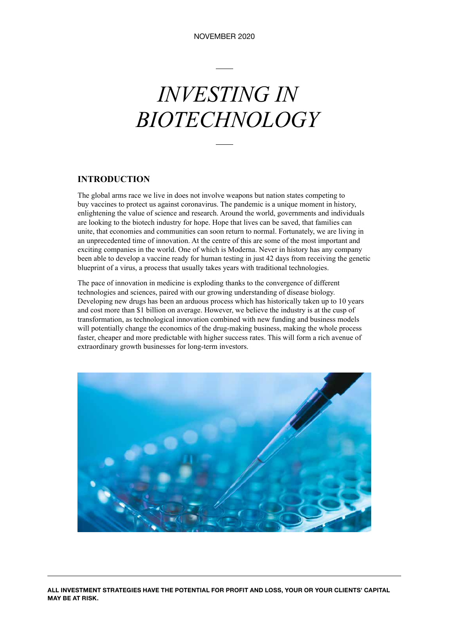# *INVESTING IN BIOTECHNOLOGY*

#### **INTRODUCTION**

The global arms race we live in does not involve weapons but nation states competing to buy vaccines to protect us against coronavirus. The pandemic is a unique moment in history, enlightening the value of science and research. Around the world, governments and individuals are looking to the biotech industry for hope. Hope that lives can be saved, that families can unite, that economies and communities can soon return to normal. Fortunately, we are living in an unprecedented time of innovation. At the centre of this are some of the most important and exciting companies in the world. One of which is Moderna. Never in history has any company been able to develop a vaccine ready for human testing in just 42 days from receiving the genetic blueprint of a virus, a process that usually takes years with traditional technologies.

The pace of innovation in medicine is exploding thanks to the convergence of different technologies and sciences, paired with our growing understanding of disease biology. Developing new drugs has been an arduous process which has historically taken up to 10 years and cost more than \$1 billion on average. However, we believe the industry is at the cusp of transformation, as technological innovation combined with new funding and business models will potentially change the economics of the drug-making business, making the whole process faster, cheaper and more predictable with higher success rates. This will form a rich avenue of extraordinary growth businesses for long-term investors.



**ALL INVESTMENT STRATEGIES HAVE THE POTENTIAL FOR PROFIT AND LOSS, YOUR OR YOUR CLIENTS' CAPITAL MAY BE AT RISK.**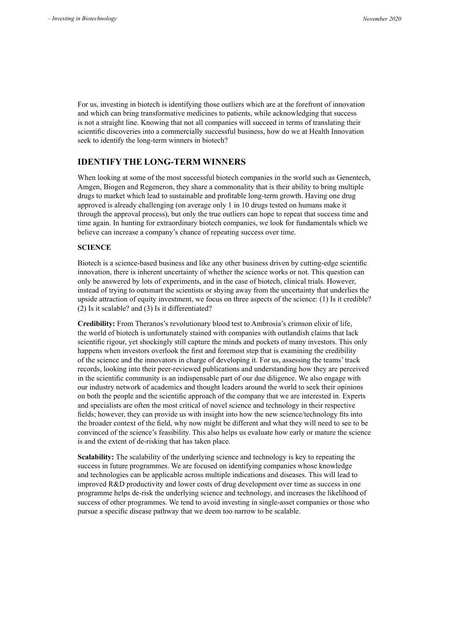For us, investing in biotech is identifying those outliers which are at the forefront of innovation and which can bring transformative medicines to patients, while acknowledging that success is not a straight line. Knowing that not all companies will succeed in terms of translating their scientific discoveries into a commercially successful business, how do we at Health Innovation seek to identify the long-term winners in biotech?

#### **IDENTIFY THE LONG-TERM WINNERS**

When looking at some of the most successful biotech companies in the world such as Genentech, Amgen, Biogen and Regeneron, they share a commonality that is their ability to bring multiple drugs to market which lead to sustainable and profitable long-term growth. Having one drug approved is already challenging (on average only 1 in 10 drugs tested on humans make it through the approval process), but only the true outliers can hope to repeat that success time and time again. In hunting for extraordinary biotech companies, we look for fundamentals which we believe can increase a company's chance of repeating success over time.

#### **SCIENCE**

Biotech is a science-based business and like any other business driven by cutting-edge scientific innovation, there is inherent uncertainty of whether the science works or not. This question can only be answered by lots of experiments, and in the case of biotech, clinical trials. However, instead of trying to outsmart the scientists or shying away from the uncertainty that underlies the upside attraction of equity investment, we focus on three aspects of the science: (1) Is it credible? (2) Is it scalable? and (3) Is it differentiated?

**Credibility:** From Theranos's revolutionary blood test to Ambrosia's crimson elixir of life, the world of biotech is unfortunately stained with companies with outlandish claims that lack scientific rigour, yet shockingly still capture the minds and pockets of many investors. This only happens when investors overlook the first and foremost step that is examining the credibility of the science and the innovators in charge of developing it. For us, assessing the teams' track records, looking into their peer-reviewed publications and understanding how they are perceived in the scientific community is an indispensable part of our due diligence. We also engage with our industry network of academics and thought leaders around the world to seek their opinions on both the people and the scientific approach of the company that we are interested in. Experts and specialists are often the most critical of novel science and technology in their respective fields; however, they can provide us with insight into how the new science/technology fits into the broader context of the field, why now might be different and what they will need to see to be convinced of the science's feasibility. This also helps us evaluate how early or mature the science is and the extent of de-risking that has taken place.

**Scalability:** The scalability of the underlying science and technology is key to repeating the success in future programmes. We are focused on identifying companies whose knowledge and technologies can be applicable across multiple indications and diseases. This will lead to improved R&D productivity and lower costs of drug development over time as success in one programme helps de-risk the underlying science and technology, and increases the likelihood of success of other programmes. We tend to avoid investing in single-asset companies or those who pursue a specific disease pathway that we deem too narrow to be scalable.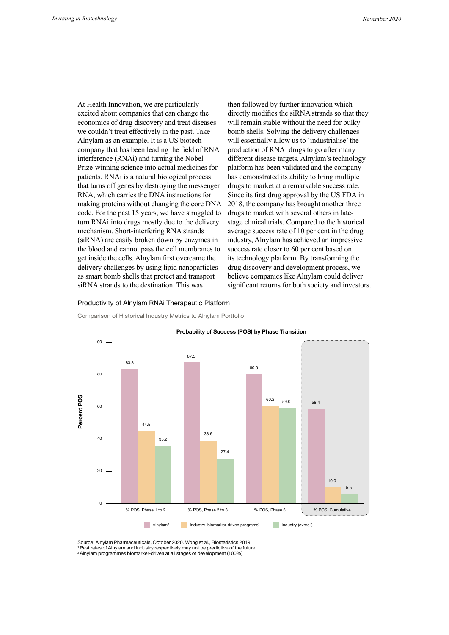At Health Innovation, we are particularly excited about companies that can change the economics of drug discovery and treat diseases we couldn't treat effectively in the past. Take Alnylam as an example. It is a US biotech company that has been leading the field of RNA interference (RNAi) and turning the Nobel Prize-winning science into actual medicines for patients. RNAi is a natural biological process that turns off genes by destroying the messenger RNA, which carries the DNA instructions for making proteins without changing the core DNA code. For the past 15 years, we have struggled to turn RNAi into drugs mostly due to the delivery mechanism. Short-interfering RNA strands (siRNA) are easily broken down by enzymes in the blood and cannot pass the cell membranes to get inside the cells. Alnylam first overcame the delivery challenges by using lipid nanoparticles as smart bomb shells that protect and transport siRNA strands to the destination. This was

then followed by further innovation which directly modifies the siRNA strands so that they will remain stable without the need for bulky bomb shells. Solving the delivery challenges will essentially allow us to 'industrialise' the production of RNAi drugs to go after many different disease targets. Alnylam's technology platform has been validated and the company has demonstrated its ability to bring multiple drugs to market at a remarkable success rate. Since its first drug approval by the US FDA in 2018, the company has brought another three drugs to market with several others in latestage clinical trials. Compared to the historical average success rate of 10 per cent in the drug industry, Alnylam has achieved an impressive success rate closer to 60 per cent based on its technology platform. By transforming the drug discovery and development process, we believe companies like Alnylam could deliver significant returns for both society and investors.

#### Productivity of Alnylam RNAi Therapeutic Platform **Productivity of Alnylam RNAi Therapeutic Platform**

Comparison of Historical Industry Metrics to Alnylam Portfolio<sup>1</sup>



Source: Alnylam Pharmaceuticals, October 2020. Wong et al., Biostatistics 2019. Source: Alnylam Pharmaceuticals, October 2020. Wong et al., Biostatistics 2019 <sup>1</sup> Past rates of Alnylam and Industry respectively may not be predictive of the future 2 Alnylam programmes biomarker-driven at all stages of development (100%)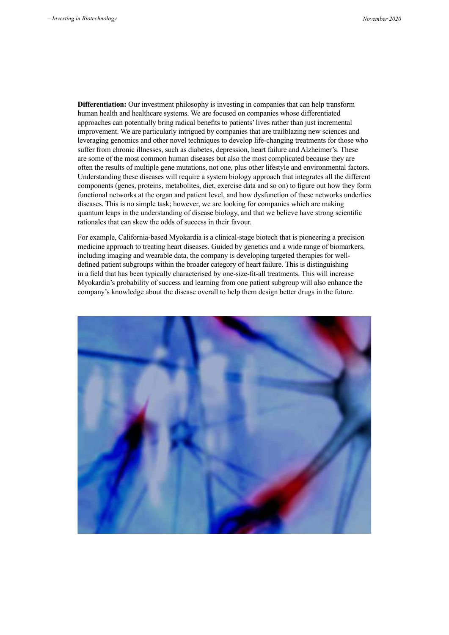**Differentiation:** Our investment philosophy is investing in companies that can help transform human health and healthcare systems. We are focused on companies whose differentiated approaches can potentially bring radical benefits to patients' lives rather than just incremental improvement. We are particularly intrigued by companies that are trailblazing new sciences and leveraging genomics and other novel techniques to develop life-changing treatments for those who suffer from chronic illnesses, such as diabetes, depression, heart failure and Alzheimer's. These are some of the most common human diseases but also the most complicated because they are often the results of multiple gene mutations, not one, plus other lifestyle and environmental factors. Understanding these diseases will require a system biology approach that integrates all the different components (genes, proteins, metabolites, diet, exercise data and so on) to figure out how they form functional networks at the organ and patient level, and how dysfunction of these networks underlies diseases. This is no simple task; however, we are looking for companies which are making quantum leaps in the understanding of disease biology, and that we believe have strong scientific rationales that can skew the odds of success in their favour.

For example, California-based Myokardia is a clinical-stage biotech that is pioneering a precision medicine approach to treating heart diseases. Guided by genetics and a wide range of biomarkers, including imaging and wearable data, the company is developing targeted therapies for welldefined patient subgroups within the broader category of heart failure. This is distinguishing in a field that has been typically characterised by one-size-fit-all treatments. This will increase Myokardia's probability of success and learning from one patient subgroup will also enhance the company's knowledge about the disease overall to help them design better drugs in the future.

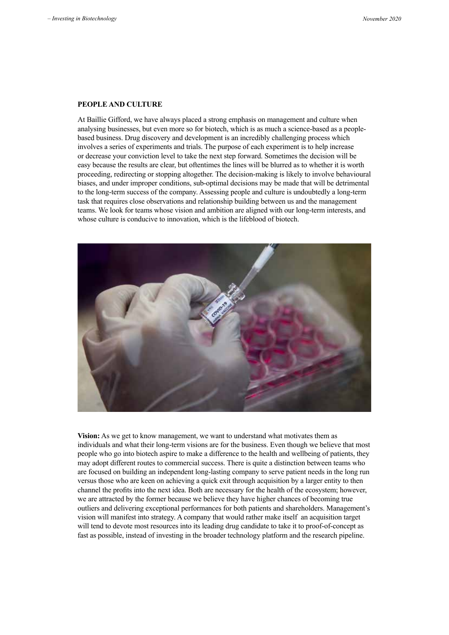#### **PEOPLE AND CULTURE**

At Baillie Gifford, we have always placed a strong emphasis on management and culture when analysing businesses, but even more so for biotech, which is as much a science-based as a peoplebased business. Drug discovery and development is an incredibly challenging process which involves a series of experiments and trials. The purpose of each experiment is to help increase or decrease your conviction level to take the next step forward. Sometimes the decision will be easy because the results are clear, but oftentimes the lines will be blurred as to whether it is worth proceeding, redirecting or stopping altogether. The decision-making is likely to involve behavioural biases, and under improper conditions, sub-optimal decisions may be made that will be detrimental to the long-term success of the company. Assessing people and culture is undoubtedly a long-term task that requires close observations and relationship building between us and the management teams. We look for teams whose vision and ambition are aligned with our long-term interests, and whose culture is conducive to innovation, which is the lifeblood of biotech.



**Vision:** As we get to know management, we want to understand what motivates them as individuals and what their long-term visions are for the business. Even though we believe that most people who go into biotech aspire to make a difference to the health and wellbeing of patients, they may adopt different routes to commercial success. There is quite a distinction between teams who are focused on building an independent long-lasting company to serve patient needs in the long run versus those who are keen on achieving a quick exit through acquisition by a larger entity to then channel the profits into the next idea. Both are necessary for the health of the ecosystem; however, we are attracted by the former because we believe they have higher chances of becoming true outliers and delivering exceptional performances for both patients and shareholders. Management's vision will manifest into strategy. A company that would rather make itself an acquisition target will tend to devote most resources into its leading drug candidate to take it to proof-of-concept as fast as possible, instead of investing in the broader technology platform and the research pipeline.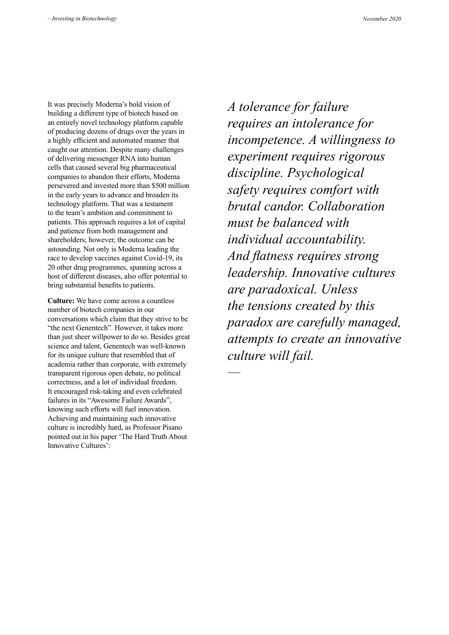It was precisely Moderna's bold vision of building a different type of biotech based on an entirely novel technology platform capable of producing dozens of drugs over the years in a highly efficient and automated manner that caught our attention. Despite many challenges of delivering messenger RNA into human cells that caused several big pharmaceutical companies to abandon their efforts, Moderna persevered and invested more than \$500 million in the early years to advance and broaden its technology platform. That was a testament to the team's ambition and commitment to patients. This approach requires a lot of capital and patience from both management and shareholders; however, the outcome can be astounding. Not only is Moderna leading the race to develop vaccines against Covid-19, its 20 other drug programmes, spanning across a host of different diseases, also offer potential to bring substantial benefits to patients.

**Culture:** We have come across a countless number of biotech companies in our conversations which claim that they strive to be "the next Genentech". However, it takes more than just sheer willpower to do so. Besides great science and talent, Genentech was well-known for its unique culture that resembled that of academia rather than corporate, with extremely transparent rigorous open debate, no political correctness, and a lot of individual freedom. It encouraged risk-taking and even celebrated failures in its "Awesome Failure Awards", knowing such efforts will fuel innovation. Achieving and maintaining such innovative culture is incredibly hard, as Professor Pisano pointed out in his paper 'The Hard Truth About Innovative Cultures':

*A tolerance for failure requires an intolerance for incompetence. A willingness to experiment requires rigorous discipline. Psychological safety requires comfort with brutal candor. Collaboration must be balanced with individual accountability. And flatness requires strong leadership. Innovative cultures are paradoxical. Unless the tensions created by this paradox are carefully managed, attempts to create an innovative culture will fail.*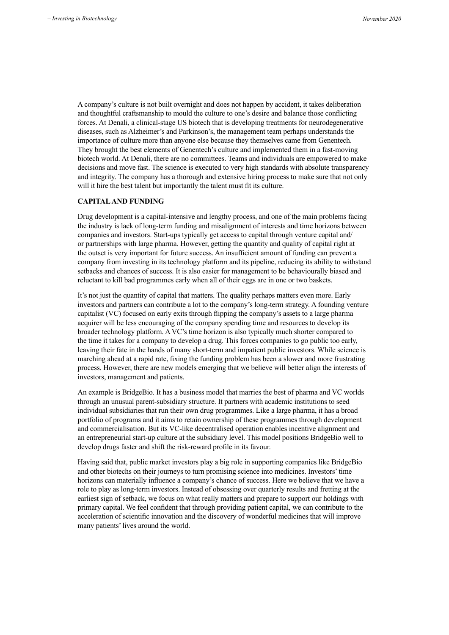A company's culture is not built overnight and does not happen by accident, it takes deliberation and thoughtful craftsmanship to mould the culture to one's desire and balance those conflicting forces. At Denali, a clinical-stage US biotech that is developing treatments for neurodegenerative diseases, such as Alzheimer's and Parkinson's, the management team perhaps understands the importance of culture more than anyone else because they themselves came from Genentech. They brought the best elements of Genentech's culture and implemented them in a fast-moving biotech world. At Denali, there are no committees. Teams and individuals are empowered to make decisions and move fast. The science is executed to very high standards with absolute transparency and integrity. The company has a thorough and extensive hiring process to make sure that not only will it hire the best talent but importantly the talent must fit its culture.

#### **CAPITAL AND FUNDING**

Drug development is a capital-intensive and lengthy process, and one of the main problems facing the industry is lack of long-term funding and misalignment of interests and time horizons between companies and investors. Start-ups typically get access to capital through venture capital and/ or partnerships with large pharma. However, getting the quantity and quality of capital right at the outset is very important for future success. An insufficient amount of funding can prevent a company from investing in its technology platform and its pipeline, reducing its ability to withstand setbacks and chances of success. It is also easier for management to be behaviourally biased and reluctant to kill bad programmes early when all of their eggs are in one or two baskets.

It's not just the quantity of capital that matters. The quality perhaps matters even more. Early investors and partners can contribute a lot to the company's long-term strategy. A founding venture capitalist (VC) focused on early exits through flipping the company's assets to a large pharma acquirer will be less encouraging of the company spending time and resources to develop its broader technology platform. A VC's time horizon is also typically much shorter compared to the time it takes for a company to develop a drug. This forces companies to go public too early, leaving their fate in the hands of many short-term and impatient public investors. While science is marching ahead at a rapid rate, fixing the funding problem has been a slower and more frustrating process. However, there are new models emerging that we believe will better align the interests of investors, management and patients.

An example is BridgeBio. It has a business model that marries the best of pharma and VC worlds through an unusual parent-subsidiary structure. It partners with academic institutions to seed individual subsidiaries that run their own drug programmes. Like a large pharma, it has a broad portfolio of programs and it aims to retain ownership of these programmes through development and commercialisation. But its VC-like decentralised operation enables incentive alignment and an entrepreneurial start-up culture at the subsidiary level. This model positions BridgeBio well to develop drugs faster and shift the risk-reward profile in its favour.

Having said that, public market investors play a big role in supporting companies like BridgeBio and other biotechs on their journeys to turn promising science into medicines. Investors' time horizons can materially influence a company's chance of success. Here we believe that we have a role to play as long-term investors. Instead of obsessing over quarterly results and fretting at the earliest sign of setback, we focus on what really matters and prepare to support our holdings with primary capital. We feel confident that through providing patient capital, we can contribute to the acceleration of scientific innovation and the discovery of wonderful medicines that will improve many patients' lives around the world.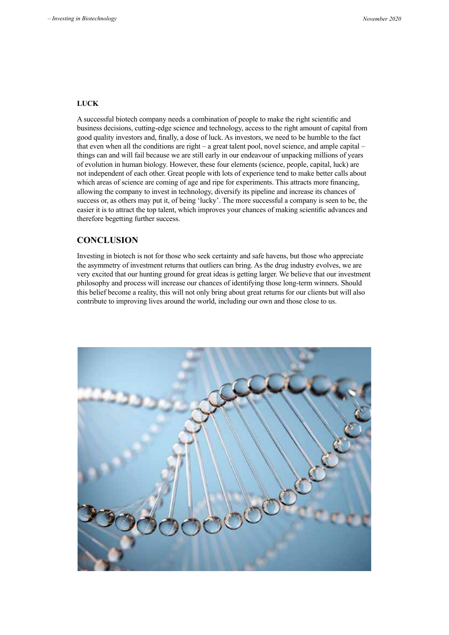#### **LUCK**

A successful biotech company needs a combination of people to make the right scientific and business decisions, cutting-edge science and technology, access to the right amount of capital from good quality investors and, finally, a dose of luck. As investors, we need to be humble to the fact that even when all the conditions are right – a great talent pool, novel science, and ample capital – things can and will fail because we are still early in our endeavour of unpacking millions of years of evolution in human biology. However, these four elements (science, people, capital, luck) are not independent of each other. Great people with lots of experience tend to make better calls about which areas of science are coming of age and ripe for experiments. This attracts more financing, allowing the company to invest in technology, diversify its pipeline and increase its chances of success or, as others may put it, of being 'lucky'. The more successful a company is seen to be, the easier it is to attract the top talent, which improves your chances of making scientific advances and therefore begetting further success.

#### **CONCLUSION**

Investing in biotech is not for those who seek certainty and safe havens, but those who appreciate the asymmetry of investment returns that outliers can bring. As the drug industry evolves, we are very excited that our hunting ground for great ideas is getting larger. We believe that our investment philosophy and process will increase our chances of identifying those long-term winners. Should this belief become a reality, this will not only bring about great returns for our clients but will also contribute to improving lives around the world, including our own and those close to us.

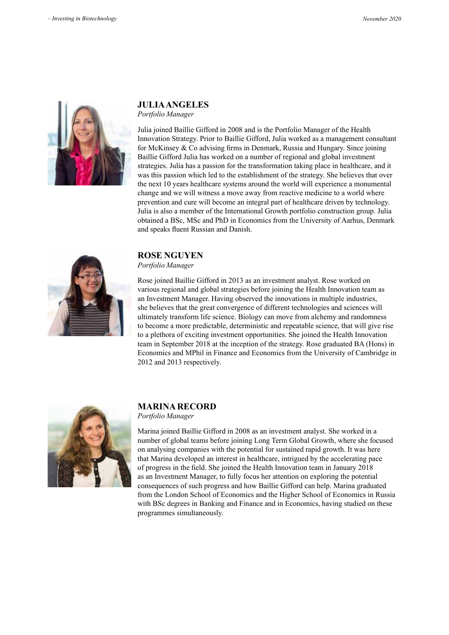

## **JULIA ANGELES**

*Portfolio Manager*

Julia joined Baillie Gifford in 2008 and is the Portfolio Manager of the Health Innovation Strategy. Prior to Baillie Gifford, Julia worked as a management consultant for McKinsey & Co advising firms in Denmark, Russia and Hungary. Since joining Baillie Gifford Julia has worked on a number of regional and global investment strategies. Julia has a passion for the transformation taking place in healthcare, and it was this passion which led to the establishment of the strategy. She believes that over the next 10 years healthcare systems around the world will experience a monumental change and we will witness a move away from reactive medicine to a world where prevention and cure will become an integral part of healthcare driven by technology. Julia is also a member of the International Growth portfolio construction group. Julia obtained a BSc, MSc and PhD in Economics from the University of Aarhus, Denmark and speaks fluent Russian and Danish.



#### **ROSE NGUYEN**

*Portfolio Manager*

Rose joined Baillie Gifford in 2013 as an investment analyst. Rose worked on various regional and global strategies before joining the Health Innovation team as an Investment Manager. Having observed the innovations in multiple industries, she believes that the great convergence of different technologies and sciences will ultimately transform life science. Biology can move from alchemy and randomness to become a more predictable, deterministic and repeatable science, that will give rise to a plethora of exciting investment opportunities. She joined the Health Innovation team in September 2018 at the inception of the strategy. Rose graduated BA (Hons) in Economics and MPhil in Finance and Economics from the University of Cambridge in 2012 and 2013 respectively.



#### **MARINA RECORD**

### *Portfolio Manager*

Marina joined Baillie Gifford in 2008 as an investment analyst. She worked in a number of global teams before joining Long Term Global Growth, where she focused on analysing companies with the potential for sustained rapid growth. It was here that Marina developed an interest in healthcare, intrigued by the accelerating pace of progress in the field. She joined the Health Innovation team in January 2018 as an Investment Manager, to fully focus her attention on exploring the potential consequences of such progress and how Baillie Gifford can help. Marina graduated from the London School of Economics and the Higher School of Economics in Russia with BSc degrees in Banking and Finance and in Economics, having studied on these programmes simultaneously.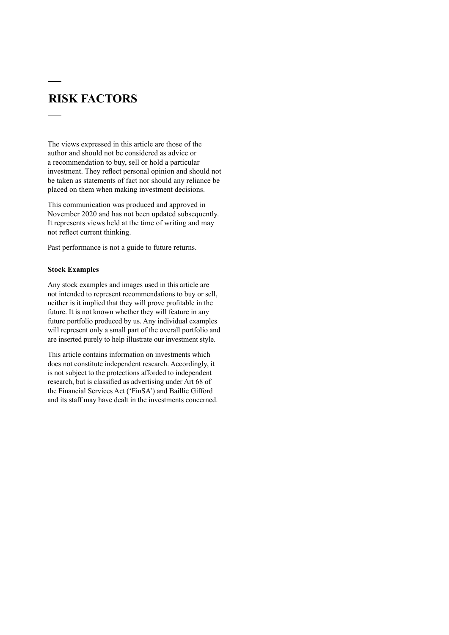## **RISK FACTORS**

The views expressed in this article are those of the author and should not be considered as advice or a recommendation to buy, sell or hold a particular investment. They reflect personal opinion and should not be taken as statements of fact nor should any reliance be placed on them when making investment decisions.

This communication was produced and approved in November 2020 and has not been updated subsequently. It represents views held at the time of writing and may not reflect current thinking.

Past performance is not a guide to future returns.

#### **Stock Examples**

Any stock examples and images used in this article are not intended to represent recommendations to buy or sell, neither is it implied that they will prove profitable in the future. It is not known whether they will feature in any future portfolio produced by us. Any individual examples will represent only a small part of the overall portfolio and are inserted purely to help illustrate our investment style.

This article contains information on investments which does not constitute independent research. Accordingly, it is not subject to the protections afforded to independent research, but is classified as advertising under Art 68 of the Financial Services Act ('FinSA') and Baillie Gifford and its staff may have dealt in the investments concerned.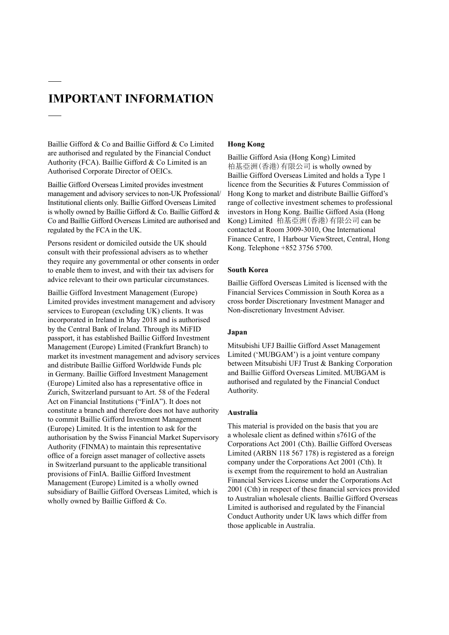## **IMPORTANT INFORMATION**

Baillie Gifford & Co and Baillie Gifford & Co Limited are authorised and regulated by the Financial Conduct Authority (FCA). Baillie Gifford & Co Limited is an Authorised Corporate Director of OEICs.

Baillie Gifford Overseas Limited provides investment management and advisory services to non-UK Professional/ Institutional clients only. Baillie Gifford Overseas Limited is wholly owned by Baillie Gifford & Co. Baillie Gifford & Co and Baillie Gifford Overseas Limited are authorised and regulated by the FCA in the UK.

Persons resident or domiciled outside the UK should consult with their professional advisers as to whether they require any governmental or other consents in order to enable them to invest, and with their tax advisers for advice relevant to their own particular circumstances.

Baillie Gifford Investment Management (Europe) Limited provides investment management and advisory services to European (excluding UK) clients. It was incorporated in Ireland in May 2018 and is authorised by the Central Bank of Ireland. Through its MiFID passport, it has established Baillie Gifford Investment Management (Europe) Limited (Frankfurt Branch) to market its investment management and advisory services and distribute Baillie Gifford Worldwide Funds plc in Germany. Baillie Gifford Investment Management (Europe) Limited also has a representative office in Zurich, Switzerland pursuant to Art. 58 of the Federal Act on Financial Institutions ("FinIA"). It does not constitute a branch and therefore does not have authority to commit Baillie Gifford Investment Management (Europe) Limited. It is the intention to ask for the authorisation by the Swiss Financial Market Supervisory Authority (FINMA) to maintain this representative office of a foreign asset manager of collective assets in Switzerland pursuant to the applicable transitional provisions of FinIA. Baillie Gifford Investment Management (Europe) Limited is a wholly owned subsidiary of Baillie Gifford Overseas Limited, which is wholly owned by Baillie Gifford & Co.

#### **Hong Kong**

Baillie Gifford Asia (Hong Kong) Limited 柏基亞洲(香港)有限公司 is wholly owned by Baillie Gifford Overseas Limited and holds a Type 1 licence from the Securities & Futures Commission of Hong Kong to market and distribute Baillie Gifford's range of collective investment schemes to professional investors in Hong Kong. Baillie Gifford Asia (Hong Kong) Limited 柏基亞洲(香港)有限公司 can be contacted at Room 3009-3010, One International Finance Centre, 1 Harbour ViewStreet, Central, Hong Kong. Telephone +852 3756 5700.

#### **South Korea**

Baillie Gifford Overseas Limited is licensed with the Financial Services Commission in South Korea as a cross border Discretionary Investment Manager and Non-discretionary Investment Adviser.

#### **Japan**

Mitsubishi UFJ Baillie Gifford Asset Management Limited ('MUBGAM') is a joint venture company between Mitsubishi UFJ Trust & Banking Corporation and Baillie Gifford Overseas Limited. MUBGAM is authorised and regulated by the Financial Conduct Authority.

#### **Australia**

This material is provided on the basis that you are a wholesale client as defined within s761G of the Corporations Act 2001 (Cth). Baillie Gifford Overseas Limited (ARBN 118 567 178) is registered as a foreign company under the Corporations Act 2001 (Cth). It is exempt from the requirement to hold an Australian Financial Services License under the Corporations Act 2001 (Cth) in respect of these financial services provided to Australian wholesale clients. Baillie Gifford Overseas Limited is authorised and regulated by the Financial Conduct Authority under UK laws which differ from those applicable in Australia.